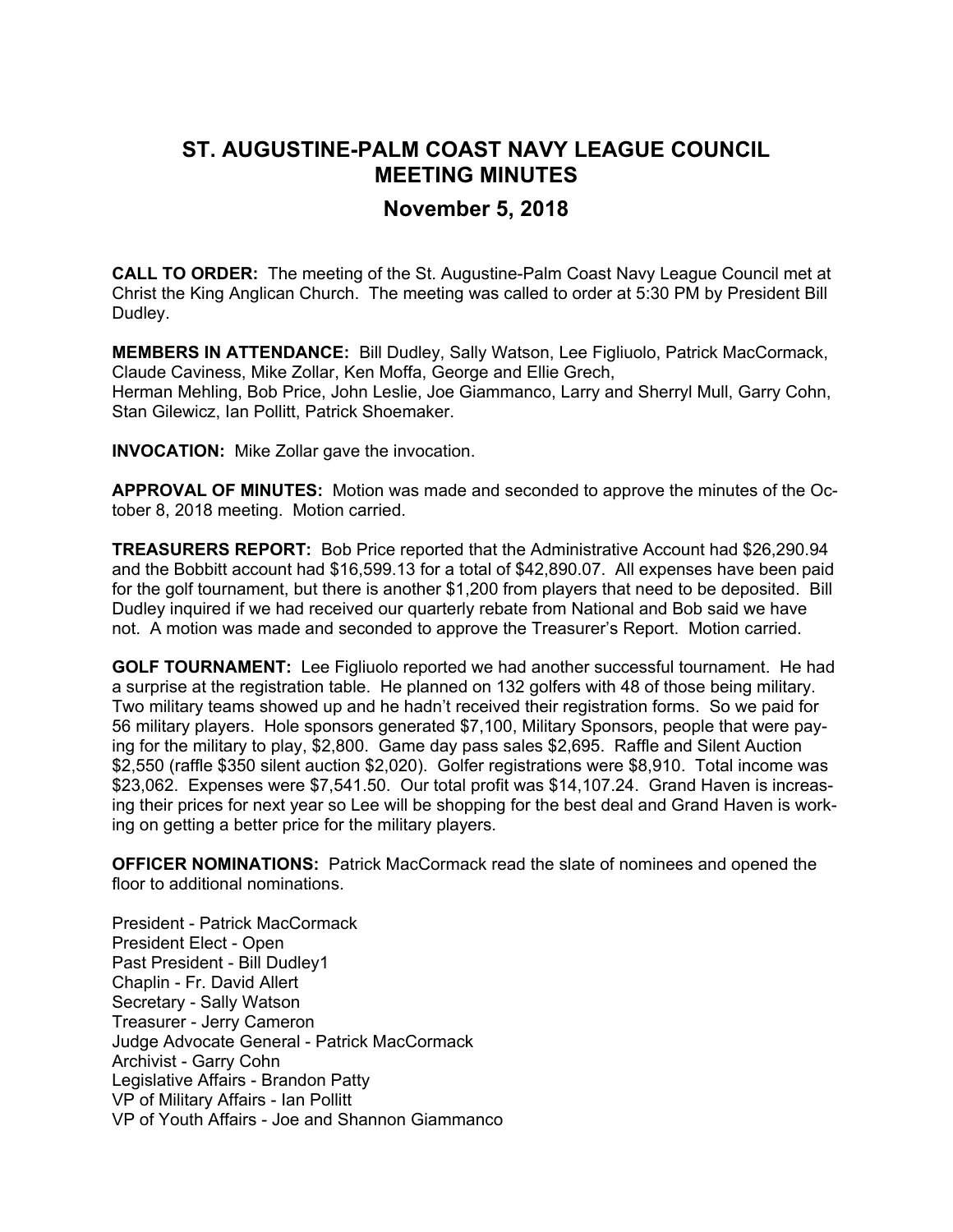## **ST. AUGUSTINE-PALM COAST NAVY LEAGUE COUNCIL MEETING MINUTES**

## **November 5, 2018**

**CALL TO ORDER:** The meeting of the St. Augustine-Palm Coast Navy League Council met at Christ the King Anglican Church. The meeting was called to order at 5:30 PM by President Bill Dudley.

**MEMBERS IN ATTENDANCE:** Bill Dudley, Sally Watson, Lee Figliuolo, Patrick MacCormack, Claude Caviness, Mike Zollar, Ken Moffa, George and Ellie Grech, Herman Mehling, Bob Price, John Leslie, Joe Giammanco, Larry and Sherryl Mull, Garry Cohn, Stan Gilewicz, Ian Pollitt, Patrick Shoemaker.

**INVOCATION:** Mike Zollar gave the invocation.

**APPROVAL OF MINUTES:** Motion was made and seconded to approve the minutes of the October 8, 2018 meeting. Motion carried.

**TREASURERS REPORT:** Bob Price reported that the Administrative Account had \$26,290.94 and the Bobbitt account had \$16,599.13 for a total of \$42,890.07. All expenses have been paid for the golf tournament, but there is another \$1,200 from players that need to be deposited. Bill Dudley inquired if we had received our quarterly rebate from National and Bob said we have not. A motion was made and seconded to approve the Treasurer's Report. Motion carried.

**GOLF TOURNAMENT:** Lee Figliuolo reported we had another successful tournament. He had a surprise at the registration table. He planned on 132 golfers with 48 of those being military. Two military teams showed up and he hadn't received their registration forms. So we paid for 56 military players. Hole sponsors generated \$7,100, Military Sponsors, people that were paying for the military to play, \$2,800. Game day pass sales \$2,695. Raffle and Silent Auction \$2,550 (raffle \$350 silent auction \$2,020). Golfer registrations were \$8,910. Total income was \$23,062. Expenses were \$7,541.50. Our total profit was \$14,107.24. Grand Haven is increasing their prices for next year so Lee will be shopping for the best deal and Grand Haven is working on getting a better price for the military players.

**OFFICER NOMINATIONS:** Patrick MacCormack read the slate of nominees and opened the floor to additional nominations.

President - Patrick MacCormack President Elect - Open Past President - Bill Dudley1 Chaplin - Fr. David Allert Secretary - Sally Watson Treasurer - Jerry Cameron Judge Advocate General - Patrick MacCormack Archivist - Garry Cohn Legislative Affairs - Brandon Patty VP of Military Affairs - Ian Pollitt VP of Youth Affairs - Joe and Shannon Giammanco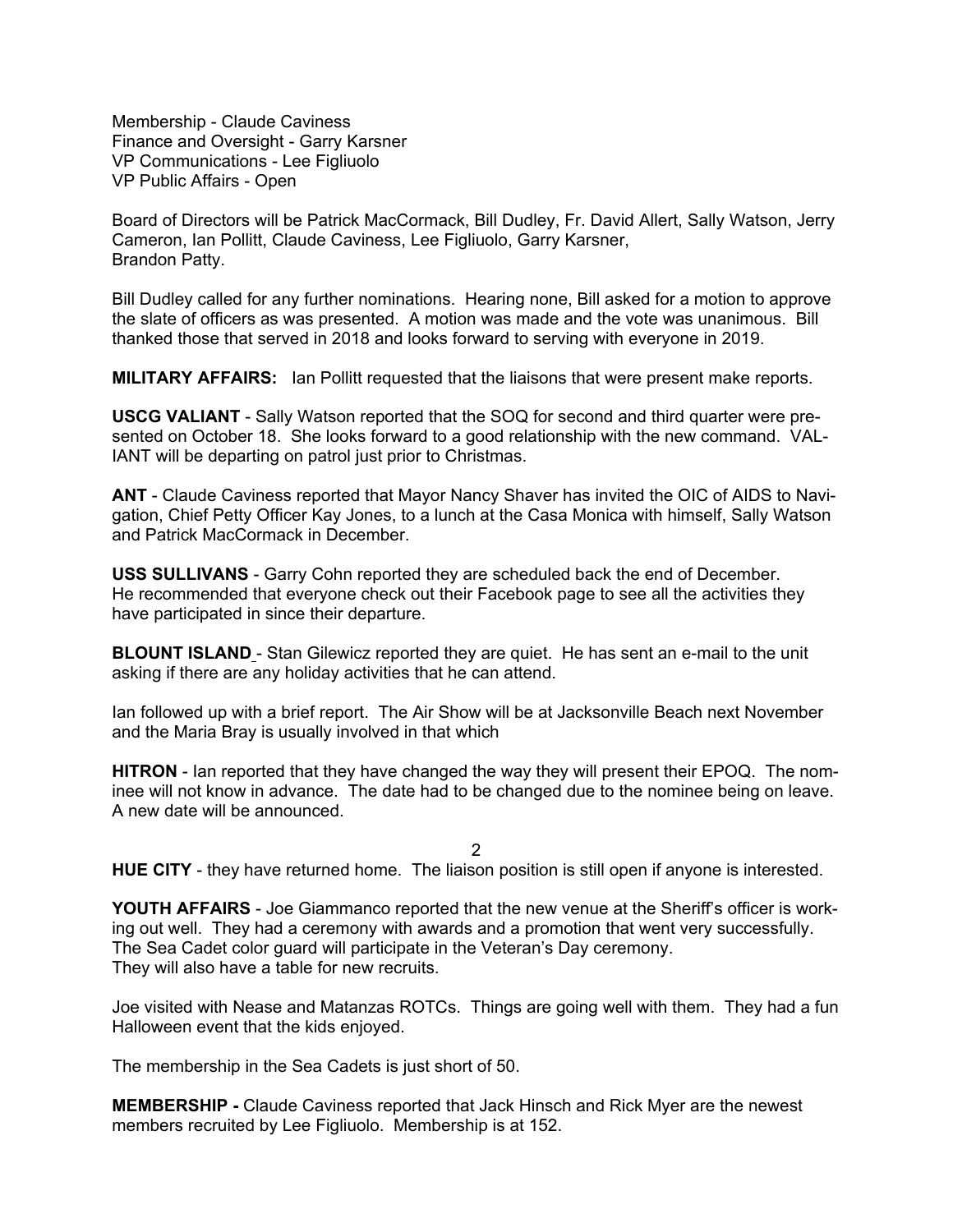Membership - Claude Caviness Finance and Oversight - Garry Karsner VP Communications - Lee Figliuolo VP Public Affairs - Open

Board of Directors will be Patrick MacCormack, Bill Dudley, Fr. David Allert, Sally Watson, Jerry Cameron, Ian Pollitt, Claude Caviness, Lee Figliuolo, Garry Karsner, Brandon Patty.

Bill Dudley called for any further nominations. Hearing none, Bill asked for a motion to approve the slate of officers as was presented. A motion was made and the vote was unanimous. Bill thanked those that served in 2018 and looks forward to serving with everyone in 2019.

**MILITARY AFFAIRS:** Ian Pollitt requested that the liaisons that were present make reports.

**USCG VALIANT** - Sally Watson reported that the SOQ for second and third quarter were presented on October 18. She looks forward to a good relationship with the new command. VAL-IANT will be departing on patrol just prior to Christmas.

**ANT** - Claude Caviness reported that Mayor Nancy Shaver has invited the OIC of AIDS to Navigation, Chief Petty Officer Kay Jones, to a lunch at the Casa Monica with himself, Sally Watson and Patrick MacCormack in December.

**USS SULLIVANS** - Garry Cohn reported they are scheduled back the end of December. He recommended that everyone check out their Facebook page to see all the activities they have participated in since their departure.

**BLOUNT ISLAND** - Stan Gilewicz reported they are quiet. He has sent an e-mail to the unit asking if there are any holiday activities that he can attend.

Ian followed up with a brief report. The Air Show will be at Jacksonville Beach next November and the Maria Bray is usually involved in that which

**HITRON** - Ian reported that they have changed the way they will present their EPOQ. The nominee will not know in advance. The date had to be changed due to the nominee being on leave. A new date will be announced.

2

**HUE CITY** - they have returned home. The liaison position is still open if anyone is interested.

**YOUTH AFFAIRS** - Joe Giammanco reported that the new venue at the Sheriff's officer is working out well. They had a ceremony with awards and a promotion that went very successfully. The Sea Cadet color guard will participate in the Veteran's Day ceremony. They will also have a table for new recruits.

Joe visited with Nease and Matanzas ROTCs. Things are going well with them. They had a fun Halloween event that the kids enjoyed.

The membership in the Sea Cadets is just short of 50.

**MEMBERSHIP -** Claude Caviness reported that Jack Hinsch and Rick Myer are the newest members recruited by Lee Figliuolo. Membership is at 152.